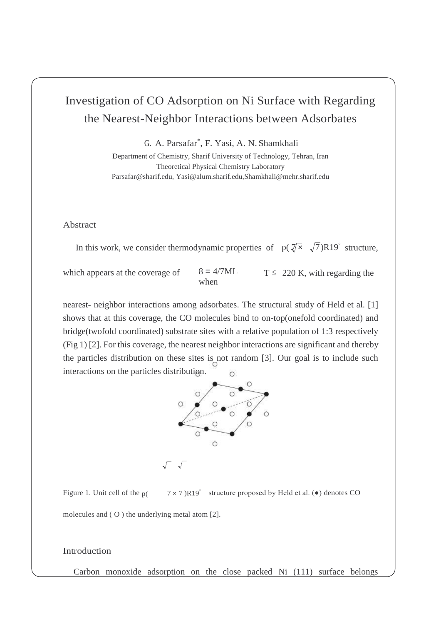# Investigation of CO Adsorption on Ni Surface with Regarding the Nearest-Neighbor Interactions between Adsorbates

G. A. Parsafar\* , F. Yasi, A. N. Shamkhali

Department of Chemistry, Sharif University of Technology, Tehran, Iran Theoretical Physical Chemistry Laboratory [Parsafar@sharif.edu, Y](mailto:Parsafar@sharif.edu)asi@alum.sharif.edu,Shamkhali@mehr.sharif.edu

Abstract

In this work, we consider thermodynamic properties of  $p(\sqrt[n]{\times}, \sqrt{7})R19^{\degree}$  structure,

which appears at the coverage of  $8 = 4/7ML$ 

when

 $T \leq 220$  K, with regarding the

nearest- neighbor interactions among adsorbates. The structural study of Held et al. [1] shows that at this coverage, the CO molecules bind to on-top(onefold coordinated) and bridge(twofold coordinated) substrate sites with a relative population of 1:3 respectively (Fig 1) [2]. For this coverage, the nearest neighbor interactions are significant and thereby the particles distribution on these sites is not random [3]. Our goal is to include such interactions on the particles distribution.



Figure 1. Unit cell of the  $p($  $7 \times 7$ )R19° structure proposed by Held et al. ( $\bullet$ ) denotes CO

molecules and ( O ) the underlying metal atom [2].

## Introduction

Carbon monoxide adsorption on the close packed Ni (111) surface belongs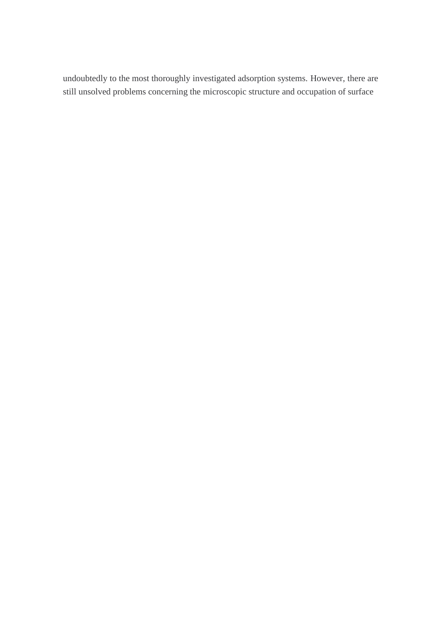undoubtedly to the most thoroughly investigated adsorption systems. However, there are still unsolved problems concerning the microscopic structure and occupation of surface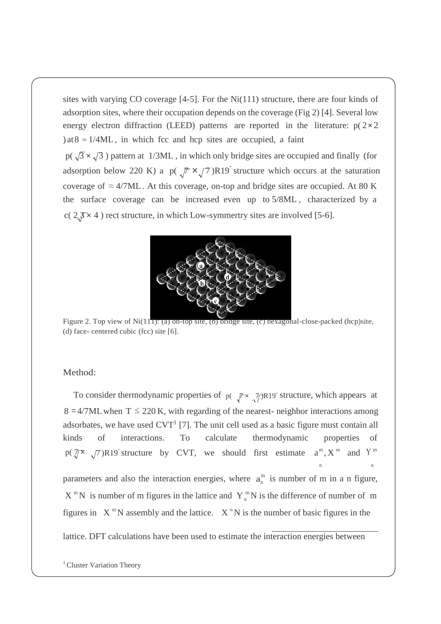sites with varying CO coverage  $[4-5]$ . For the Ni $(111)$  structure, there are four kinds of adsorption sites, where their occupation depends on the coverage (Fig 2) [4]. Several low energy electron diffraction (LEED) patterns are reported in the literature:  $p(2 \times 2)$ ) at  $8 = 1/4ML$ , in which fcc and hcp sites are occupied, a faint

 $p(\sqrt{3} \times \sqrt{3})$  pattern at 1/3ML, in which only bridge sites are occupied and finally (for adsorption below 220 K) a  $p(\sqrt{\pi} \times \sqrt{7})R19$  structure which occurs at the saturation coverage of  $\approx$  4/7ML. At this coverage, on-top and bridge sites are occupied. At 80 K the surface coverage can be increased even up to 5/8ML , characterized by a c(  $2,7 \times 4$  ) rect structure, in which Low-symmertry sites are involved [5-6].



Figure 2. Top view of Ni(111): (a) on-top site, (b) bridge site, (c) hexagonal-close-packed (hcp)site, (d) face- centered cubic (fcc) site [6].

### Method:

n  $p(\sqrt[m]{x}, \sqrt[m]{7})R19$  structure by CVT, we should first estimate  $a^m, X^m$  and Y<sup>m</sup> parameters and also the interaction energies, where  $a_n^m$  is number of m in a n figure,  $X^m N$  is number of m figures in the lattice and  $Y^m N$  is the difference of number of m n To consider thermodynamic properties of p( $\pi \times \pi$ )R19° structure, which appears at  $8 = 4/7$ ML when T  $\leq 220$  K, with regarding of the nearest- neighbor interactions among adsorbates, we have used  $CVT<sup>1</sup>$  [7]. The unit cell used as a basic figure must contain all kinds of interactions. To calculate thermodynamic properties of figures in  $X^mN$  assembly and the lattice.  $X^nN$  is the number of basic figures in the

lattice. DFT calculations have been used to estimate the interaction energies between

<sup>&</sup>lt;sup>1</sup> Cluster Variation Theory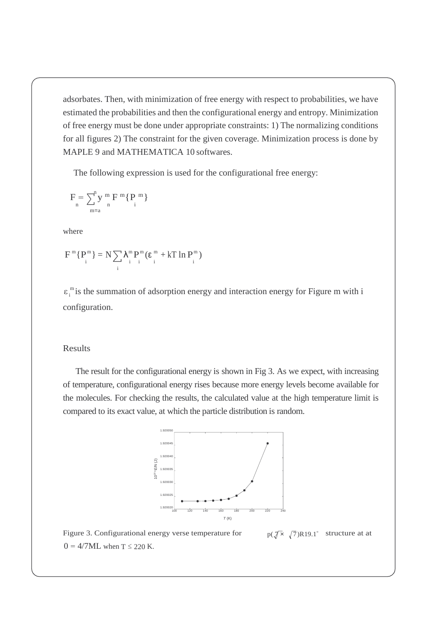adsorbates. Then, with minimization of free energy with respect to probabilities, we have estimated the probabilities and then the configurational energy and entropy. Minimization of free energy must be done under appropriate constraints: 1) The normalizing conditions for all figures 2) The constraint for the given coverage. Minimization process is done by MAPLE 9 and MATHEMATICA 10 softwares.

The following expression is used for the configurational free energy:

$$
F_{\underset{m=a}{}}=\sum_{\underset{m=a}{}}^{n}y_{\underset{n}{}}^{m}F_{\underset{n}{}}^{m}\{P_{\underset{i}{}}^{m}\}
$$

where

$$
F^{\,m}\{P^{\,m}_{_i}\}=N\sum_{_i}\lambda^m_{_i}\tP^{\,m}_{_i}(\epsilon^{\,m}_{_i}+kT\ln P^{\,m}_{_i})
$$

 $\varepsilon_i^m$  is the summation of adsorption energy and interaction energy for Figure m with i configuration.

## Results

The result for the configurational energy is shown in Fig 3. As we expect, with increasing of temperature, configurational energy rises because more energy levels become available for the molecules. For checking the results, the calculated value at the high temperature limit is compared to its exact value, at which the particle distribution is random.



Figure 3. Configurational energy verse temperature for  $0 = 4/7ML$  when  $T \le 220$  K.  $p(\sqrt{\mathbf{x}} \sqrt{7})R19.1^{\circ}$  structure at at